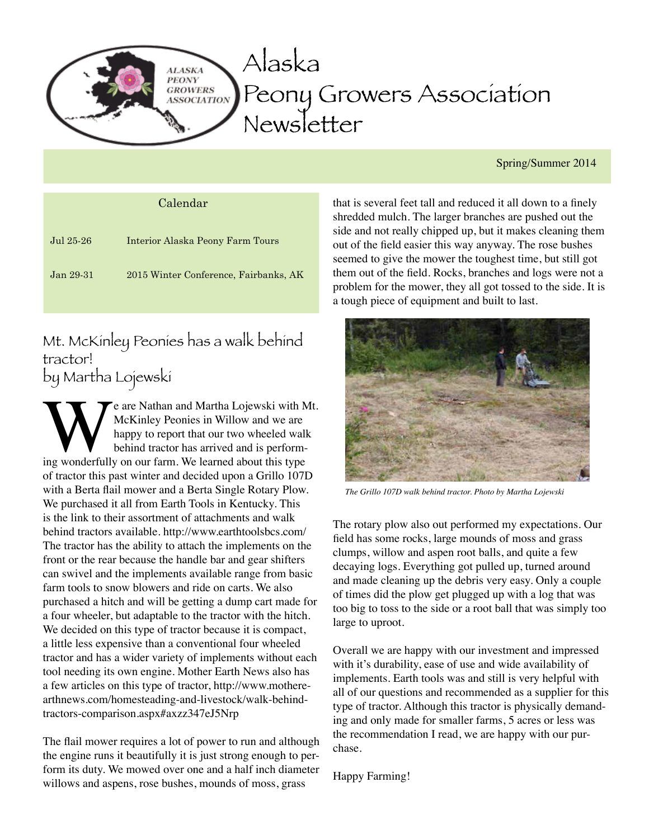

Spring/Summer 2014

| Calendar  |                                       |
|-----------|---------------------------------------|
| Jul 25-26 | Interior Alaska Peony Farm Tours      |
| Jan 29-31 | 2015 Winter Conference, Fairbanks, AK |

Mt. McKinley Peonies has a walk behind tractor! by Martha Lojewski

We are Nathan and Martha Lojewski with Mt.<br>
McKinley Peonies in Willow and we are<br>
happy to report that our two wheeled walk<br>
behind tractor has arrived and is perform-<br>
ing wonderfully on our farm. We learned about this t McKinley Peonies in Willow and we are happy to report that our two wheeled walk behind tractor has arrived and is performof tractor this past winter and decided upon a Grillo 107D with a Berta flail mower and a Berta Single Rotary Plow. We purchased it all from Earth Tools in Kentucky. This is the link to their assortment of attachments and walk behind tractors available. http://www.earthtoolsbcs.com/ The tractor has the ability to attach the implements on the front or the rear because the handle bar and gear shifters can swivel and the implements available range from basic farm tools to snow blowers and ride on carts. We also purchased a hitch and will be getting a dump cart made for a four wheeler, but adaptable to the tractor with the hitch. We decided on this type of tractor because it is compact, a little less expensive than a conventional four wheeled tractor and has a wider variety of implements without each tool needing its own engine. Mother Earth News also has a few articles on this type of tractor, http://www.motherearthnews.com/homesteading-and-livestock/walk-behindtractors-comparison.aspx#axzz347eJ5Nrp

The flail mower requires a lot of power to run and although the engine runs it beautifully it is just strong enough to perform its duty. We mowed over one and a half inch diameter willows and aspens, rose bushes, mounds of moss, grass

that is several feet tall and reduced it all down to a finely shredded mulch. The larger branches are pushed out the side and not really chipped up, but it makes cleaning them out of the field easier this way anyway. The rose bushes seemed to give the mower the toughest time, but still got them out of the field. Rocks, branches and logs were not a problem for the mower, they all got tossed to the side. It is a tough piece of equipment and built to last.



*The Grillo 107D walk behind tractor. Photo by Martha Lojewski*

The rotary plow also out performed my expectations. Our field has some rocks, large mounds of moss and grass clumps, willow and aspen root balls, and quite a few decaying logs. Everything got pulled up, turned around and made cleaning up the debris very easy. Only a couple of times did the plow get plugged up with a log that was too big to toss to the side or a root ball that was simply too large to uproot.

Overall we are happy with our investment and impressed with it's durability, ease of use and wide availability of implements. Earth tools was and still is very helpful with all of our questions and recommended as a supplier for this type of tractor. Although this tractor is physically demanding and only made for smaller farms, 5 acres or less was the recommendation I read, we are happy with our purchase.

Happy Farming!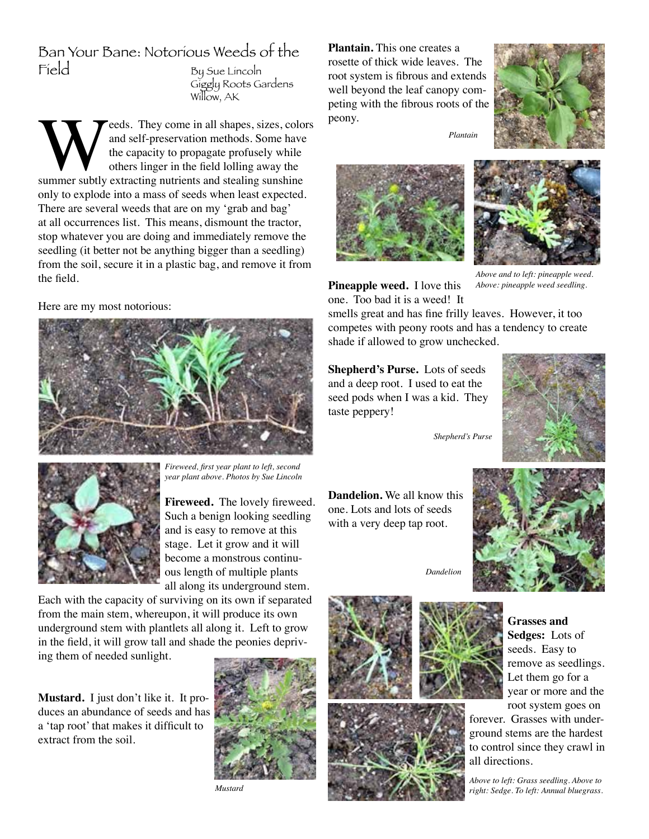# Ban Your Bane: Notorious Weeds of the<br>Field Busue Lincoln

By Sue Lincoln Giggly Roots Gardens Willow, AK

**WEERN CONSTREND SERVIST CONSTREND SURVEY** and self-preservation methods. Some have the capacity to propagate profusely while others linger in the field lolling away the summer subtly extracting nutrients and stealing suns and self-preservation methods. Some have the capacity to propagate profusely while others linger in the field lolling away the only to explode into a mass of seeds when least expected. There are several weeds that are on my 'grab and bag' at all occurrences list. This means, dismount the tractor, stop whatever you are doing and immediately remove the seedling (it better not be anything bigger than a seedling) from the soil, secure it in a plastic bag, and remove it from the field.

Here are my most notorious:





*Fireweed, first year plant to left, second year plant above. Photos by Sue Lincoln*

**Fireweed.** The lovely fireweed. Such a benign looking seedling and is easy to remove at this stage. Let it grow and it will become a monstrous continuous length of multiple plants all along its underground stem.

Each with the capacity of surviving on its own if separated from the main stem, whereupon, it will produce its own underground stem with plantlets all along it. Left to grow in the field, it will grow tall and shade the peonies depriving them of needed sunlight.

**Mustard.** I just don't like it. It produces an abundance of seeds and has a 'tap root' that makes it difficult to extract from the soil.



*Mustard*

**Plantain.** This one creates a rosette of thick wide leaves. The root system is fibrous and extends well beyond the leaf canopy competing with the fibrous roots of the peony.



*Plantain*



**Pineapple weed.** I love this



*Above and to left: pineapple weed. Above: pineapple weed seedling.*

one. Too bad it is a weed! It smells great and has fine frilly leaves. However, it too competes with peony roots and has a tendency to create shade if allowed to grow unchecked.

**Shepherd's Purse.** Lots of seeds and a deep root. I used to eat the seed pods when I was a kid. They taste peppery!





**Dandelion.** We all know this one. Lots and lots of seeds with a very deep tap root.

*Dandelion*





**Grasses and Sedges:** Lots of seeds. Easy to remove as seedlings. Let them go for a year or more and the root system goes on

forever. Grasses with underground stems are the hardest to control since they crawl in all directions.

*Above to left: Grass seedling. Above to right: Sedge. To left: Annual bluegrass.*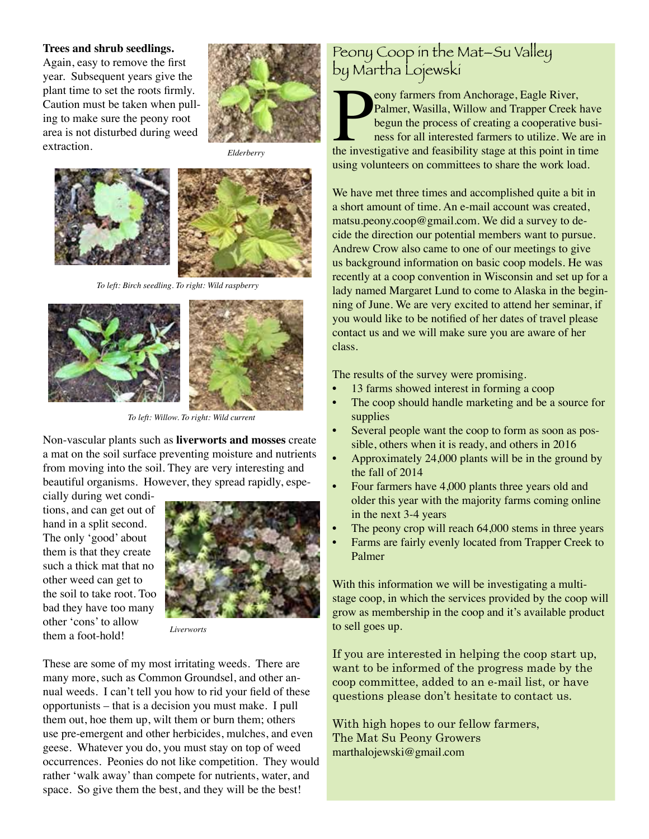#### **Trees and shrub seedlings.**

Again, easy to remove the first year. Subsequent years give the plant time to set the roots firmly. Caution must be taken when pulling to make sure the peony root area is not disturbed during weed extraction.



*Elderberry*





*To left: Birch seedling. To right: Wild raspberry*



*To left: Willow. To right: Wild current*

Non-vascular plants such as **liverworts and mosses** create a mat on the soil surface preventing moisture and nutrients from moving into the soil. They are very interesting and beautiful organisms. However, they spread rapidly, espe-

cially during wet conditions, and can get out of hand in a split second. The only 'good' about them is that they create such a thick mat that no other weed can get to the soil to take root. Too bad they have too many other 'cons' to allow them a foot-hold!



*Liverworts*

These are some of my most irritating weeds. There are many more, such as Common Groundsel, and other annual weeds. I can't tell you how to rid your field of these opportunists – that is a decision you must make. I pull them out, hoe them up, wilt them or burn them; others use pre-emergent and other herbicides, mulches, and even geese. Whatever you do, you must stay on top of weed occurrences. Peonies do not like competition. They would rather 'walk away' than compete for nutrients, water, and space. So give them the best, and they will be the best!

### Peony Coop in the Mat–Su Valley by Martha Lojewski

Peony farmers from Anchorage, Eagle River,<br>Palmer, Wasilla, Willow and Trapper Creek have<br>begun the process of creating a cooperative busi-<br>ness for all interested farmers to utilize. We are in<br>the investigative and feasib eony farmers from Anchorage, Eagle River, Palmer, Wasilla, Willow and Trapper Creek have begun the process of creating a cooperative business for all interested farmers to utilize. We are in using volunteers on committees to share the work load.

We have met three times and accomplished quite a bit in a short amount of time. An e-mail account was created, matsu.peony.coop@gmail.com. We did a survey to decide the direction our potential members want to pursue. Andrew Crow also came to one of our meetings to give us background information on basic coop models. He was recently at a coop convention in Wisconsin and set up for a lady named Margaret Lund to come to Alaska in the beginning of June. We are very excited to attend her seminar, if you would like to be notified of her dates of travel please contact us and we will make sure you are aware of her class.

The results of the survey were promising.

- 13 farms showed interest in forming a coop
- The coop should handle marketing and be a source for supplies
- Several people want the coop to form as soon as possible, others when it is ready, and others in 2016
- Approximately 24,000 plants will be in the ground by the fall of 2014
- Four farmers have 4,000 plants three years old and older this year with the majority farms coming online in the next 3-4 years
- The peony crop will reach 64,000 stems in three years
- Farms are fairly evenly located from Trapper Creek to Palmer

With this information we will be investigating a multistage coop, in which the services provided by the coop will grow as membership in the coop and it's available product to sell goes up.

If you are interested in helping the coop start up, want to be informed of the progress made by the coop committee, added to an e-mail list, or have questions please don't hesitate to contact us.

With high hopes to our fellow farmers, The Mat Su Peony Growers marthalojewski@gmail.com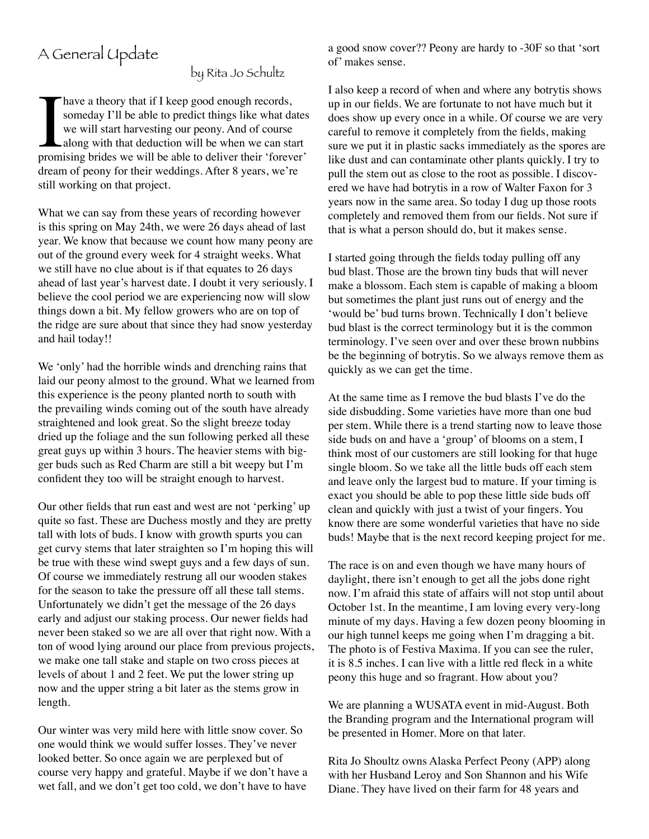# A General Update

by Rita Jo Schultz

have a theory that if I keep good enough records,<br>someday I'll be able to predict things like what da<br>we will start harvesting our peony. And of course<br>along with that deduction will be when we can sta<br>promising brides we someday I'll be able to predict things like what dates we will start harvesting our peony. And of course along with that deduction will be when we can start promising brides we will be able to deliver their 'forever' dream of peony for their weddings. After 8 years, we're still working on that project.

What we can say from these years of recording however is this spring on May 24th, we were 26 days ahead of last year. We know that because we count how many peony are out of the ground every week for 4 straight weeks. What we still have no clue about is if that equates to 26 days ahead of last year's harvest date. I doubt it very seriously. I believe the cool period we are experiencing now will slow things down a bit. My fellow growers who are on top of the ridge are sure about that since they had snow yesterday and hail today!!

We 'only' had the horrible winds and drenching rains that laid our peony almost to the ground. What we learned from this experience is the peony planted north to south with the prevailing winds coming out of the south have already straightened and look great. So the slight breeze today dried up the foliage and the sun following perked all these great guys up within 3 hours. The heavier stems with bigger buds such as Red Charm are still a bit weepy but I'm confident they too will be straight enough to harvest.

Our other fields that run east and west are not 'perking' up quite so fast. These are Duchess mostly and they are pretty tall with lots of buds. I know with growth spurts you can get curvy stems that later straighten so I'm hoping this will be true with these wind swept guys and a few days of sun. Of course we immediately restrung all our wooden stakes for the season to take the pressure off all these tall stems. Unfortunately we didn't get the message of the 26 days early and adjust our staking process. Our newer fields had never been staked so we are all over that right now. With a ton of wood lying around our place from previous projects, we make one tall stake and staple on two cross pieces at levels of about 1 and 2 feet. We put the lower string up now and the upper string a bit later as the stems grow in length.

Our winter was very mild here with little snow cover. So one would think we would suffer losses. They've never looked better. So once again we are perplexed but of course very happy and grateful. Maybe if we don't have a wet fall, and we don't get too cold, we don't have to have a good snow cover?? Peony are hardy to -30F so that 'sort of' makes sense.

I also keep a record of when and where any botrytis shows up in our fields. We are fortunate to not have much but it does show up every once in a while. Of course we are very careful to remove it completely from the fields, making sure we put it in plastic sacks immediately as the spores are like dust and can contaminate other plants quickly. I try to pull the stem out as close to the root as possible. I discovered we have had botrytis in a row of Walter Faxon for 3 years now in the same area. So today I dug up those roots completely and removed them from our fields. Not sure if that is what a person should do, but it makes sense.

I started going through the fields today pulling off any bud blast. Those are the brown tiny buds that will never make a blossom. Each stem is capable of making a bloom but sometimes the plant just runs out of energy and the 'would be' bud turns brown. Technically I don't believe bud blast is the correct terminology but it is the common terminology. I've seen over and over these brown nubbins be the beginning of botrytis. So we always remove them as quickly as we can get the time.

At the same time as I remove the bud blasts I've do the side disbudding. Some varieties have more than one bud per stem. While there is a trend starting now to leave those side buds on and have a 'group' of blooms on a stem, I think most of our customers are still looking for that huge single bloom. So we take all the little buds off each stem and leave only the largest bud to mature. If your timing is exact you should be able to pop these little side buds off clean and quickly with just a twist of your fingers. You know there are some wonderful varieties that have no side buds! Maybe that is the next record keeping project for me.

The race is on and even though we have many hours of daylight, there isn't enough to get all the jobs done right now. I'm afraid this state of affairs will not stop until about October 1st. In the meantime, I am loving every very-long minute of my days. Having a few dozen peony blooming in our high tunnel keeps me going when I'm dragging a bit. The photo is of Festiva Maxima. If you can see the ruler, it is 8.5 inches. I can live with a little red fleck in a white peony this huge and so fragrant. How about you?

We are planning a WUSATA event in mid-August. Both the Branding program and the International program will be presented in Homer. More on that later.

Rita Jo Shoultz owns Alaska Perfect Peony (APP) along with her Husband Leroy and Son Shannon and his Wife Diane. They have lived on their farm for 48 years and